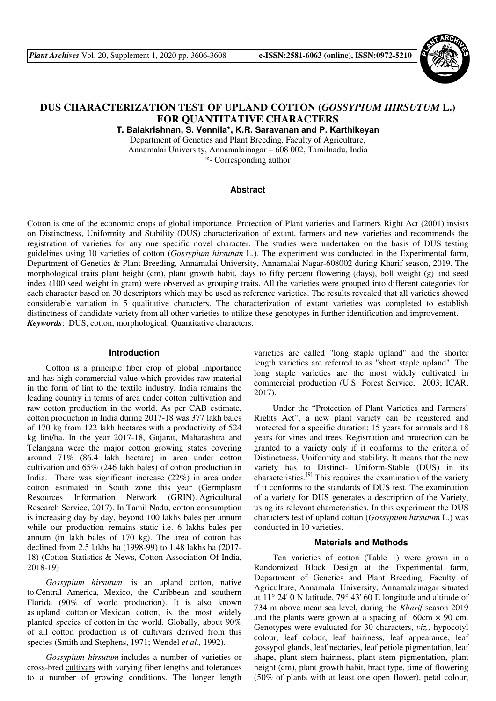

# **DUS CHARACTERIZATION TEST OF UPLAND COTTON (***GOSSYPIUM HIRSUTUM* **L.) FOR QUANTITATIVE CHARACTERS**

**T. Balakrishnan, S. Vennila\*, K.R. Saravanan and P. Karthikeyan** 

Department of Genetics and Plant Breeding, Faculty of Agriculture, Annamalai University, Annamalainagar – 608 002, Tamilnadu, India \*- Corresponding author

### **Abstract**

Cotton is one of the economic crops of global importance. Protection of Plant varieties and Farmers Right Act (2001) insists on Distinctness, Uniformity and Stability (DUS) characterization of extant, farmers and new varieties and recommends the registration of varieties for any one specific novel character. The studies were undertaken on the basis of DUS testing guidelines using 10 varieties of cotton (*Gossypium hirsutum* L.). The experiment was conducted in the Experimental farm, Department of Genetics & Plant Breeding, Annamalai University, Annamalai Nagar-608002 during Kharif season, 2019. The morphological traits plant height (cm), plant growth habit, days to fifty percent flowering (days), boll weight (g) and seed index (100 seed weight in gram) were observed as grouping traits. All the varieties were grouped into different categories for each character based on 30 descriptors which may be used as reference varieties. The results revealed that all varieties showed considerable variation in 5 qualitative characters. The characterization of extant varieties was completed to establish distinctness of candidate variety from all other varieties to utilize these genotypes in further identification and improvement. *Keywords*: DUS, cotton, morphological, Quantitative characters.

#### **Introduction**

Cotton is a principle fiber crop of global importance and has high commercial value which provides raw material in the form of lint to the textile industry. India remains the leading country in terms of area under cotton cultivation and raw cotton production in the world. As per CAB estimate, cotton production in India during 2017-18 was 377 lakh bales of 170 kg from 122 lakh hectares with a productivity of 524 kg lint/ha. In the year 2017-18, Gujarat, Maharashtra and Telangana were the major cotton growing states covering around 71% (86.4 lakh hectare) in area under cotton cultivation and 65% (246 lakh bales) of cotton production in India. There was significant increase (22%) in area under cotton estimated in South zone this year (Germplasm Resources Information Network (GRIN). Agricultural Research Service, 2017). In Tamil Nadu, cotton consumption is increasing day by day, beyond 100 lakhs bales per annum while our production remains static i.e. 6 lakhs bales per annum (in lakh bales of 170 kg). The area of cotton has declined from 2.5 lakhs ha (1998-99) to 1.48 lakhs ha (2017- 18) (Cotton Statistics & News, Cotton Association Of India, 2018-19)

*Gossypium hirsutum* is an upland cotton, native to Central America, Mexico, the Caribbean and southern Florida (90% of world production). It is also known as upland cotton or Mexican cotton, is the most widely planted species of cotton in the world. Globally, about 90% of all cotton production is of cultivars derived from this species (Smith and Stephens, 1971; Wendel *et al.,* 1992)*.*

*Gossypium hirsutum* includes a number of varieties or cross-bred cultivars with varying fiber lengths and tolerances to a number of growing conditions. The longer length varieties are called "long staple upland" and the shorter length varieties are referred to as "short staple upland". The long staple varieties are the most widely cultivated in commercial production (U.S. Forest Service, 2003; ICAR, 2017).

Under the "Protection of Plant Varieties and Farmers' Rights Act", a new plant variety can be registered and protected for a specific duration; 15 years for annuals and 18 years for vines and trees. Registration and protection can be granted to a variety only if it conforms to the criteria of Distinctness, Uniformity and stability. It means that the new variety has to Distinct- Uniform-Stable (DUS) in its characteristics.[9] This requires the examination of the variety if it conforms to the standards of DUS test. The examination of a variety for DUS generates a description of the Variety, using its relevant characteristics. In this experiment the DUS characters test of upland cotton (*Gossypium hirsutum* L.) was conducted in 10 varieties.

#### **Materials and Methods**

Ten varieties of cotton (Table 1) were grown in a Randomized Block Design at the Experimental farm, Department of Genetics and Plant Breeding, Faculty of Agriculture, Annamalai University, Annamalainagar situated at 11° 24' 0 N latitude, 79° 43' 60 E longitude and altitude of 734 m above mean sea level, during the *Kharif* season 2019 and the plants were grown at a spacing of  $60 \text{cm} \times 90 \text{cm}$ . Genotypes were evaluated for 30 characters, *viz.,* hypocotyl colour, leaf colour, leaf hairiness, leaf appearance, leaf gossypol glands, leaf nectaries, leaf petiole pigmentation, leaf shape, plant stem hairiness, plant stem pigmentation, plant height (cm), plant growth habit, bract type, time of flowering (50% of plants with at least one open flower), petal colour,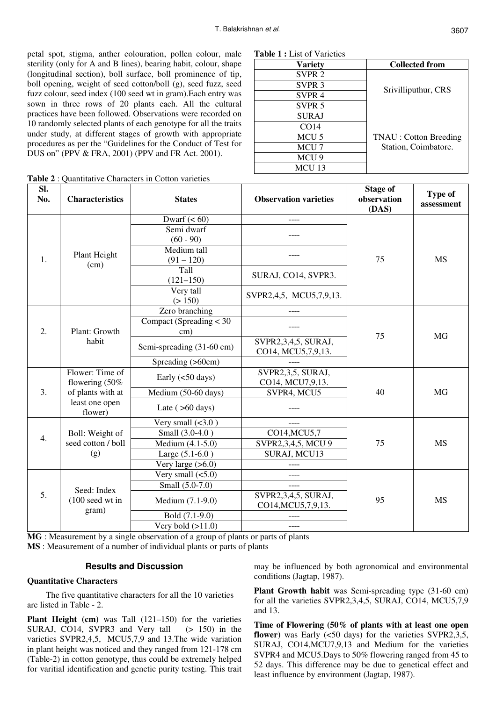**Table 1 :** List of Varieties

SVPR 2 SVPR 3 SVPR 4 SVPR 5

SURAJ CO14 MCU 5 MCU<sub>7</sub> MCU 9 MCU 13

**Variety Collected from** 

Srivilliputhur, CRS

TNAU : Cotton Breeding Station, Coimbatore.

petal spot, stigma, anther colouration, pollen colour, male sterility (only for A and B lines), bearing habit, colour, shape (longitudinal section), boll surface, boll prominence of tip, boll opening, weight of seed cotton/boll (g), seed fuzz, seed fuzz colour, seed index (100 seed wt in gram).Each entry was sown in three rows of 20 plants each. All the cultural practices have been followed. Observations were recorded on 10 randomly selected plants of each genotype for all the traits under study, at different stages of growth with appropriate procedures as per the "Guidelines for the Conduct of Test for DUS on" (PPV & FRA, 2001) (PPV and FR Act. 2001).

| Table 2 : Quentitative Characters in Catton veristics |  |  |
|-------------------------------------------------------|--|--|

|             | <b>Table 2: Quantitative Characters in Cotton varieties</b> |                                        |                                              |                                         |                              |  |  |  |  |
|-------------|-------------------------------------------------------------|----------------------------------------|----------------------------------------------|-----------------------------------------|------------------------------|--|--|--|--|
| Sl.<br>No.  | <b>Characteristics</b>                                      | <b>States</b>                          | <b>Observation varieties</b>                 | <b>Stage of</b><br>observation<br>(DAS) | <b>Type of</b><br>assessment |  |  |  |  |
| 1.          |                                                             | Dwarf $(< 60)$                         |                                              |                                         | <b>MS</b>                    |  |  |  |  |
|             |                                                             | Semi dwarf<br>$(60 - 90)$              |                                              |                                         |                              |  |  |  |  |
|             | Plant Height<br>(cm)                                        | Medium tall<br>$(91 - 120)$            |                                              | 75                                      |                              |  |  |  |  |
|             |                                                             | Tall<br>$(121 - 150)$                  | SURAJ, CO14, SVPR3.                          |                                         |                              |  |  |  |  |
|             |                                                             | Very tall<br>(> 150)                   | SVPR2,4,5, MCU5,7,9,13.                      |                                         |                              |  |  |  |  |
| 2.          |                                                             | Zero branching                         |                                              | 75                                      | <b>MG</b>                    |  |  |  |  |
|             | Plant: Growth                                               | Compact (Spreading $<$ 30<br>$\rm cm)$ |                                              |                                         |                              |  |  |  |  |
|             | habit                                                       | Semi-spreading (31-60 cm)              | SVPR2,3,4,5, SURAJ,<br>CO14, MCU5, 7, 9, 13. |                                         |                              |  |  |  |  |
|             |                                                             | Spreading (>60cm)                      |                                              |                                         |                              |  |  |  |  |
| 3.          | Flower: Time of<br>flowering (50%                           | Early $(<50 \text{ days})$             | SVPR2,3,5, SURAJ,<br>CO14, MCU7,9,13.        |                                         | <b>MG</b>                    |  |  |  |  |
|             | of plants with at                                           | Medium (50-60 days)                    | SVPR4, MCU5                                  | 40                                      |                              |  |  |  |  |
|             | least one open<br>flower)                                   | Late $( >60 \text{ days})$             |                                              |                                         |                              |  |  |  |  |
| 4.<br>(g)   |                                                             | Very small $(<3.0$ )                   | ----                                         |                                         | <b>MS</b>                    |  |  |  |  |
|             | Boll: Weight of<br>seed cotton / boll                       | Small (3.0-4.0)                        | CO14, MCU <sub>5</sub> , 7                   |                                         |                              |  |  |  |  |
|             |                                                             | Medium (4.1-5.0)                       | SVPR2,3,4,5, MCU 9                           | 75                                      |                              |  |  |  |  |
|             |                                                             | Large $(5.1-6.0)$                      | SURAJ, MCU13                                 |                                         |                              |  |  |  |  |
|             |                                                             | Very large $(>6.0)$                    | ----                                         |                                         |                              |  |  |  |  |
| 5.<br>gram) | Seed: Index<br>$(100 \text{ seed wt in})$                   | Very small $(<5.0)$                    | ----                                         |                                         | <b>MS</b>                    |  |  |  |  |
|             |                                                             | Small (5.0-7.0)                        |                                              |                                         |                              |  |  |  |  |
|             |                                                             | Medium (7.1-9.0)                       | SVPR2,3,4,5, SURAJ,<br>CO14, MCU5, 7, 9, 13. | 95                                      |                              |  |  |  |  |
|             |                                                             | Bold (7.1-9.0)                         |                                              |                                         |                              |  |  |  |  |
|             |                                                             | Very bold $(>11.0)$                    | $---$                                        |                                         |                              |  |  |  |  |

**MG** : Measurement by a single observation of a group of plants or parts of plants **MS** : Measurement of a number of individual plants or parts of plants

## **Results and Discussion**

#### **Quantitative Characters**

The five quantitative characters for all the 10 varieties are listed in Table - 2.

**Plant Height (cm)** was Tall (121–150) for the varieties SURAJ, CO14, SVPR3 and Very tall (> 150) in the varieties SVPR2,4,5, MCU5,7,9 and 13.The wide variation in plant height was noticed and they ranged from 121-178 cm (Table-2) in cotton genotype, thus could be extremely helped for varitial identification and genetic purity testing. This trait may be influenced by both agronomical and environmental conditions (Jagtap, 1987).

**Plant Growth habit** was Semi-spreading type (31-60 cm) for all the varieties SVPR2,3,4,5, SURAJ, CO14, MCU5,7,9 and 13.

**Time of Flowering (50% of plants with at least one open flower**) was Early (<50 days) for the varieties SVPR2,3,5, SURAJ, CO14,MCU7,9,13 and Medium for the varieties SVPR4 and MCU5.Days to 50% flowering ranged from 45 to 52 days. This difference may be due to genetical effect and least influence by environment (Jagtap, 1987).